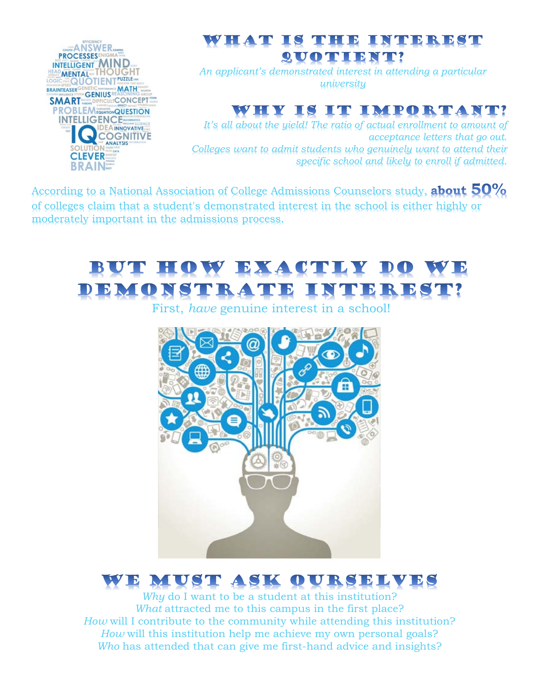

### WHAT IS THE INTEREST **QUOTIENT!**

*An applicant's demonstrated interest in attending a particular university*

## WHY IS IT IMPORTANT!

*It's all about the yield! The ratio of actual enrollment to amount of acceptance letters that go out. Colleges want to admit students who genuinely want to attend their specific school and likely to enroll if admitted.*

According to a National Association of College Admissions Counselors study, **about 50%** of colleges claim that a student's demonstrated interest in the school is either highly or moderately important in the admissions process.

# BUT HOW EXACTLY DO WE DEMONSTRATE INTEREST?

First, *have* genuine interest in a school!



# WE MUST ASK OURSELVES

*Why* do I want to be a student at this institution? *What* attracted me to this campus in the first place? *How* will I contribute to the community while attending this institution? *How* will this institution help me achieve my own personal goals? *Who* has attended that can give me first-hand advice and insights?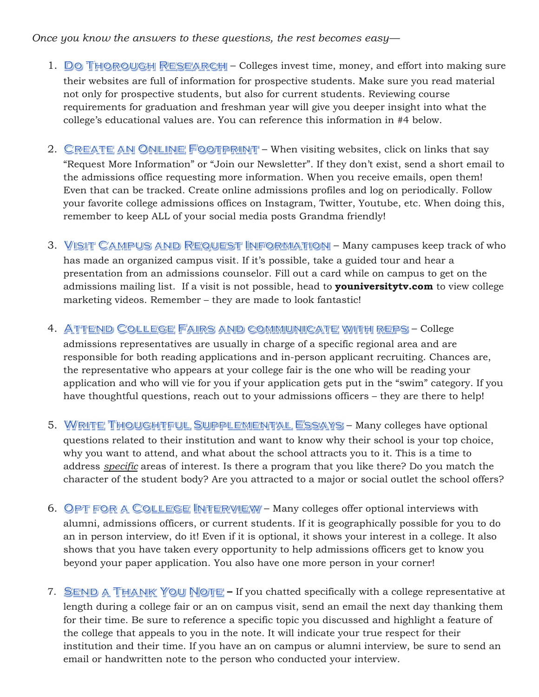#### *Once you know the answers to these questions, the rest becomes easy—*

- 1. DO THOROUGH RESEARCH Colleges invest time, money, and effort into making sure their websites are full of information for prospective students. Make sure you read material not only for prospective students, but also for current students. Reviewing course requirements for graduation and freshman year will give you deeper insight into what the college's educational values are. You can reference this information in #4 below.
- 2. CREATE AN ONLINE FOOTPRINT When visiting websites, click on links that say "Request More Information" or "Join our Newsletter". If they don't exist, send a short email to the admissions office requesting more information. When you receive emails, open them! Even that can be tracked. Create online admissions profiles and log on periodically. Follow your favorite college admissions offices on Instagram, Twitter, Youtube, etc. When doing this, remember to keep ALL of your social media posts Grandma friendly!
- 3. VISIT CAMPUS AND REQUEST INFORMATION Many campuses keep track of who has made an organized campus visit. If it's possible, take a guided tour and hear a presentation from an admissions counselor. Fill out a card while on campus to get on the admissions mailing list. If a visit is not possible, head to **youniversitytv.com** to view college marketing videos. Remember – they are made to look fantastic!
- 4. ATTEND COLLEGE FAIRS AND COMMUNICATE WITH REPS College

admissions representatives are usually in charge of a specific regional area and are responsible for both reading applications and in-person applicant recruiting. Chances are, the representative who appears at your college fair is the one who will be reading your application and who will vie for you if your application gets put in the "swim" category. If you have thoughtful questions, reach out to your admissions officers – they are there to help!

- 5. WRITE THOUGHTFUL SUPPLEMENTAL ESSAYS Many colleges have optional questions related to their institution and want to know why their school is your top choice, why you want to attend, and what about the school attracts you to it. This is a time to address *specific* areas of interest. Is there a program that you like there? Do you match the character of the student body? Are you attracted to a major or social outlet the school offers?
- 6. OPT FOR A COLLEGE INTERVIEW Many colleges offer optional interviews with alumni, admissions officers, or current students. If it is geographically possible for you to do an in person interview, do it! Even if it is optional, it shows your interest in a college. It also shows that you have taken every opportunity to help admissions officers get to know you beyond your paper application. You also have one more person in your corner!
- 7. **SEND A THANK YOU NOTE -** If you chatted specifically with a college representative at length during a college fair or an on campus visit, send an email the next day thanking them for their time. Be sure to reference a specific topic you discussed and highlight a feature of the college that appeals to you in the note. It will indicate your true respect for their institution and their time. If you have an on campus or alumni interview, be sure to send an email or handwritten note to the person who conducted your interview.